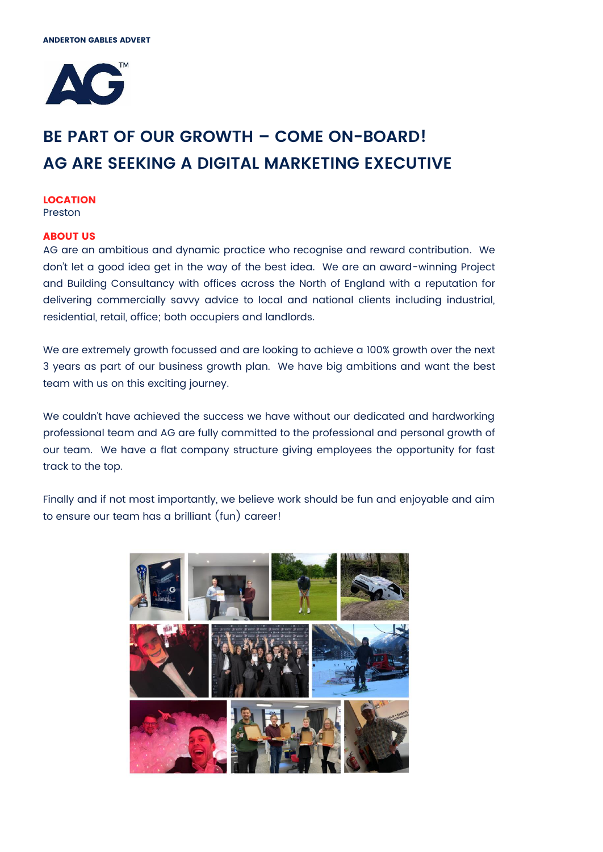

# **BE PART OF OUR GROWTH – COME ON-BOARD! AG ARE SEEKING A DIGITAL MARKETING EXECUTIVE**

#### **LOCATION** Preston

**ABOUT US**

## AG are an ambitious and dynamic practice who recognise and reward contribution. We don't let a good idea get in the way of the best idea. We are an award-winning Project and Building Consultancy with offices across the North of England with a reputation for delivering commercially savvy advice to local and national clients including industrial, residential, retail, office; both occupiers and landlords.

We are extremely growth focussed and are looking to achieve a 100% growth over the next 3 years as part of our business growth plan. We have big ambitions and want the best team with us on this exciting journey.

We couldn't have achieved the success we have without our dedicated and hardworking professional team and AG are fully committed to the professional and personal growth of our team. We have a flat company structure giving employees the opportunity for fast track to the top.

Finally and if not most importantly, we believe work should be fun and enjoyable and aim to ensure our team has a brilliant (fun) career!

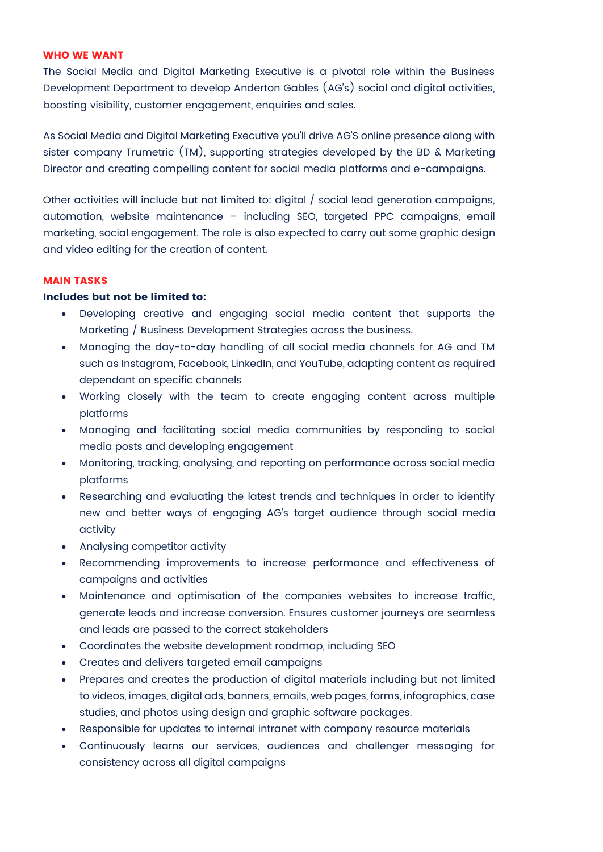#### **WHO WE WANT**

The Social Media and Digital Marketing Executive is a pivotal role within the Business Development Department to develop Anderton Gables (AG's) social and digital activities, boosting visibility, customer engagement, enquiries and sales.

As Social Media and Digital Marketing Executive you'll drive AG'S online presence along with sister company Trumetric (TM), supporting strategies developed by the BD & Marketing Director and creating compelling content for social media platforms and e-campaigns.

Other activities will include but not limited to: digital / social lead generation campaigns, automation, website maintenance – including SEO, targeted PPC campaigns, email marketing, social engagement. The role is also expected to carry out some graphic design and video editing for the creation of content.

#### **MAIN TASKS**

#### **Includes but not be limited to:**

- Developing creative and engaging social media content that supports the Marketing / Business Development Strategies across the business.
- Managing the day-to-day handling of all social media channels for AG and TM such as Instagram, Facebook, LinkedIn, and YouTube, adapting content as required dependant on specific channels
- Working closely with the team to create engaging content across multiple platforms
- Managing and facilitating social media communities by responding to social media posts and developing engagement
- Monitoring, tracking, analysing, and reporting on performance across social media platforms
- Researching and evaluating the latest trends and techniques in order to identify new and better ways of engaging AG's target audience through social media activity
- Analysing competitor activity
- Recommending improvements to increase performance and effectiveness of campaigns and activities
- Maintenance and optimisation of the companies websites to increase traffic, generate leads and increase conversion. Ensures customer journeys are seamless and leads are passed to the correct stakeholders
- Coordinates the website development roadmap, including SEO
- Creates and delivers targeted email campaigns
- Prepares and creates the production of digital materials including but not limited to videos, images, digital ads, banners, emails, web pages, forms, infographics, case studies, and photos using design and graphic software packages.
- Responsible for updates to internal intranet with company resource materials
- Continuously learns our services, audiences and challenger messaging for consistency across all digital campaigns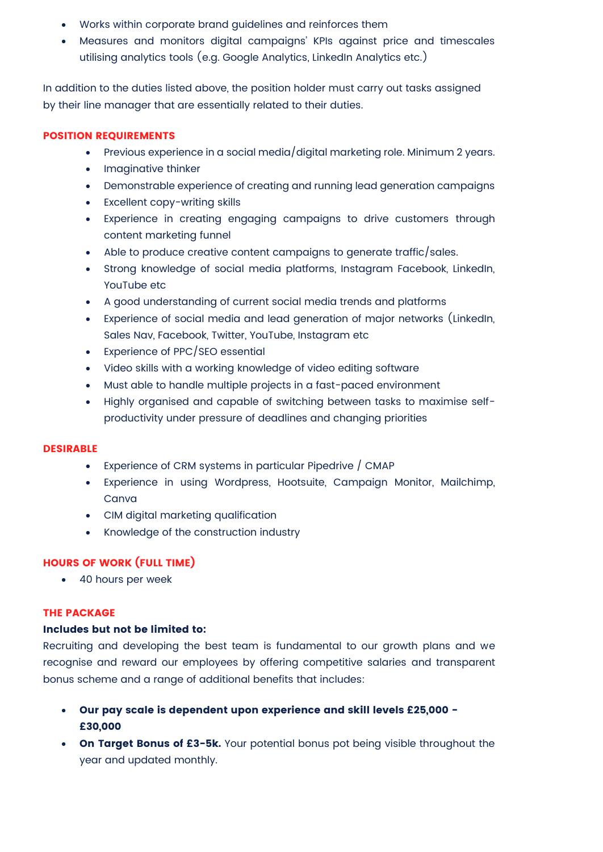- Works within corporate brand guidelines and reinforces them
- Measures and monitors digital campaigns' KPIs against price and timescales utilising analytics tools (e.g. Google Analytics, LinkedIn Analytics etc.)

In addition to the duties listed above, the position holder must carry out tasks assigned by their line manager that are essentially related to their duties.

#### **POSITION REQUIREMENTS**

- Previous experience in a social media/digital marketing role. Minimum 2 years.
- Imaginative thinker
- Demonstrable experience of creating and running lead generation campaigns
- Excellent copy-writing skills
- Experience in creating engaging campaigns to drive customers through content marketing funnel
- Able to produce creative content campaigns to generate traffic/sales.
- Strong knowledge of social media platforms, Instagram Facebook, LinkedIn, YouTube etc
- A good understanding of current social media trends and platforms
- Experience of social media and lead generation of major networks (LinkedIn, Sales Nav, Facebook, Twitter, YouTube, Instagram etc
- Experience of PPC/SEO essential
- Video skills with a working knowledge of video editing software
- Must able to handle multiple projects in a fast-paced environment
- Highly organised and capable of switching between tasks to maximise selfproductivity under pressure of deadlines and changing priorities

#### **DESIRABLE**

- Experience of CRM systems in particular Pipedrive / CMAP
- Experience in using Wordpress, Hootsuite, Campaign Monitor, Mailchimp, Canva
- CIM digital marketing qualification
- Knowledge of the construction industry

### **HOURS OF WORK (FULL TIME)**

• 40 hours per week

#### **THE PACKAGE**

#### **Includes but not be limited to:**

Recruiting and developing the best team is fundamental to our growth plans and we recognise and reward our employees by offering competitive salaries and transparent bonus scheme and a range of additional benefits that includes:

- **Our pay scale is dependent upon experience and skill levels £25,000 - £30,000**
- **On Target Bonus of £3-5k.** Your potential bonus pot being visible throughout the year and updated monthly.